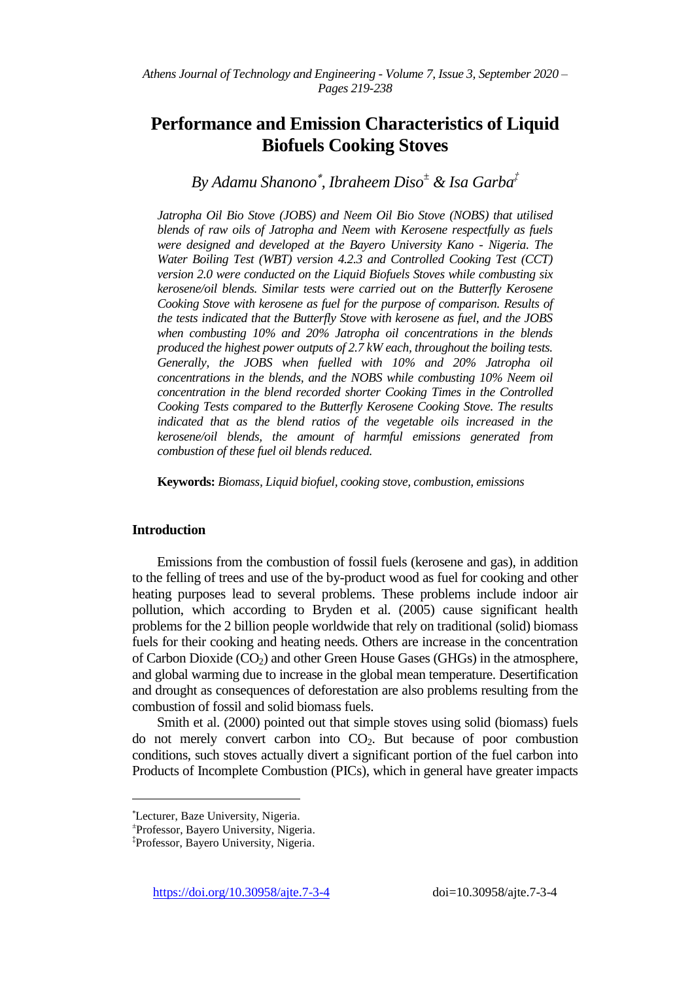# **Performance and Emission Characteristics of Liquid Biofuels Cooking Stoves**

# *By Adamu Shanono , Ibraheem Diso<sup>±</sup> & Isa Garba‡*

*Jatropha Oil Bio Stove (JOBS) and Neem Oil Bio Stove (NOBS) that utilised blends of raw oils of Jatropha and Neem with Kerosene respectfully as fuels were designed and developed at the Bayero University Kano - Nigeria. The Water Boiling Test (WBT) version 4.2.3 and Controlled Cooking Test (CCT) version 2.0 were conducted on the Liquid Biofuels Stoves while combusting six kerosene/oil blends. Similar tests were carried out on the Butterfly Kerosene Cooking Stove with kerosene as fuel for the purpose of comparison. Results of the tests indicated that the Butterfly Stove with kerosene as fuel, and the JOBS when combusting 10% and 20% Jatropha oil concentrations in the blends produced the highest power outputs of 2.7 kW each, throughout the boiling tests. Generally, the JOBS when fuelled with 10% and 20% Jatropha oil concentrations in the blends, and the NOBS while combusting 10% Neem oil concentration in the blend recorded shorter Cooking Times in the Controlled Cooking Tests compared to the Butterfly Kerosene Cooking Stove. The results indicated that as the blend ratios of the vegetable oils increased in the kerosene/oil blends, the amount of harmful emissions generated from combustion of these fuel oil blends reduced.*

**Keywords:** *Biomass, Liquid biofuel, cooking stove, combustion, emissions*

# **Introduction**

Emissions from the combustion of fossil fuels (kerosene and gas), in addition to the felling of trees and use of the by-product wood as fuel for cooking and other heating purposes lead to several problems. These problems include indoor air pollution, which according to Bryden et al. (2005) cause significant health problems for the 2 billion people worldwide that rely on traditional (solid) biomass fuels for their cooking and heating needs. Others are increase in the concentration of Carbon Dioxide  $(CO<sub>2</sub>)$  and other Green House Gases (GHGs) in the atmosphere, and global warming due to increase in the global mean temperature. Desertification and drought as consequences of deforestation are also problems resulting from the combustion of fossil and solid biomass fuels.

Smith et al. (2000) pointed out that simple stoves using solid (biomass) fuels do not merely convert carbon into  $CO<sub>2</sub>$ . But because of poor combustion conditions, such stoves actually divert a significant portion of the fuel carbon into Products of Incomplete Combustion (PICs), which in general have greater impacts

 $\overline{a}$ 

Lecturer, Baze University, Nigeria.

<sup>±</sup> Professor, Bayero University, Nigeria.

<sup>‡</sup> Professor, Bayero University, Nigeria.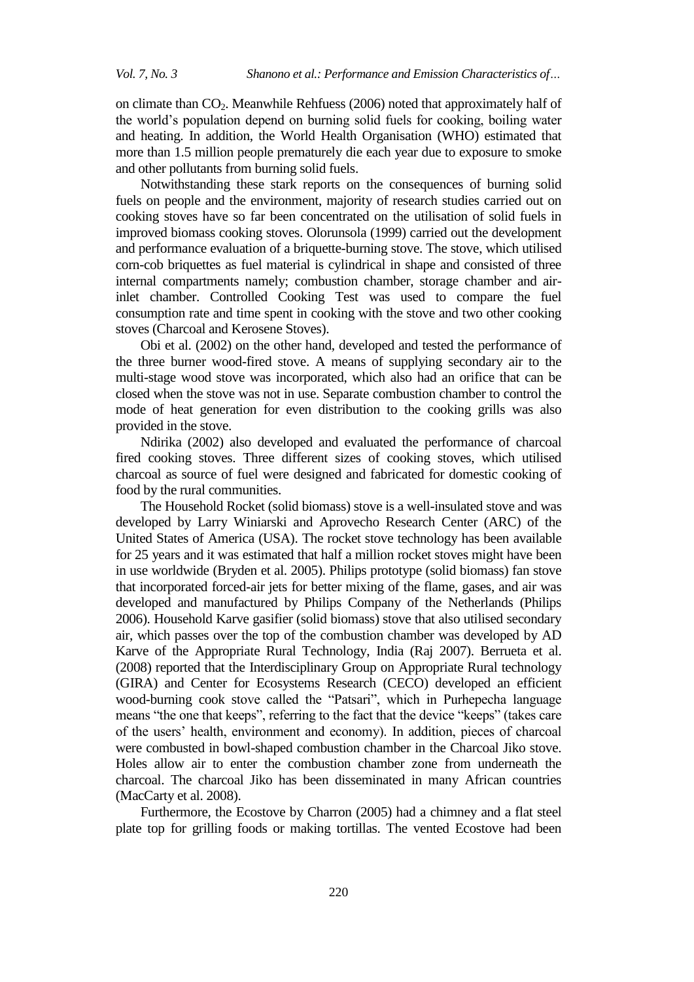on climate than  $CO<sub>2</sub>$ . Meanwhile Rehfuess (2006) noted that approximately half of the world"s population depend on burning solid fuels for cooking, boiling water and heating. In addition, the World Health Organisation (WHO) estimated that more than 1.5 million people prematurely die each year due to exposure to smoke and other pollutants from burning solid fuels.

Notwithstanding these stark reports on the consequences of burning solid fuels on people and the environment, majority of research studies carried out on cooking stoves have so far been concentrated on the utilisation of solid fuels in improved biomass cooking stoves. Olorunsola (1999) carried out the development and performance evaluation of a briquette-burning stove. The stove, which utilised corn-cob briquettes as fuel material is cylindrical in shape and consisted of three internal compartments namely; combustion chamber, storage chamber and airinlet chamber. Controlled Cooking Test was used to compare the fuel consumption rate and time spent in cooking with the stove and two other cooking stoves (Charcoal and Kerosene Stoves).

Obi et al. (2002) on the other hand, developed and tested the performance of the three burner wood-fired stove. A means of supplying secondary air to the multi-stage wood stove was incorporated, which also had an orifice that can be closed when the stove was not in use. Separate combustion chamber to control the mode of heat generation for even distribution to the cooking grills was also provided in the stove.

Ndirika (2002) also developed and evaluated the performance of charcoal fired cooking stoves. Three different sizes of cooking stoves, which utilised charcoal as source of fuel were designed and fabricated for domestic cooking of food by the rural communities.

The Household Rocket (solid biomass) stove is a well-insulated stove and was developed by Larry Winiarski and Aprovecho Research Center (ARC) of the United States of America (USA). The rocket stove technology has been available for 25 years and it was estimated that half a million rocket stoves might have been in use worldwide (Bryden et al. 2005). Philips prototype (solid biomass) fan stove that incorporated forced-air jets for better mixing of the flame, gases, and air was developed and manufactured by Philips Company of the Netherlands (Philips 2006). Household Karve gasifier (solid biomass) stove that also utilised secondary air, which passes over the top of the combustion chamber was developed by AD Karve of the Appropriate Rural Technology, India (Raj 2007). Berrueta et al. (2008) reported that the Interdisciplinary Group on Appropriate Rural technology (GIRA) and Center for Ecosystems Research (CECO) developed an efficient wood-burning cook stove called the "Patsari", which in Purhepecha language means "the one that keeps", referring to the fact that the device "keeps" (takes care of the users" health, environment and economy). In addition, pieces of charcoal were combusted in bowl-shaped combustion chamber in the Charcoal Jiko stove. Holes allow air to enter the combustion chamber zone from underneath the charcoal. The charcoal Jiko has been disseminated in many African countries (MacCarty et al. 2008).

Furthermore, the Ecostove by Charron (2005) had a chimney and a flat steel plate top for grilling foods or making tortillas. The vented Ecostove had been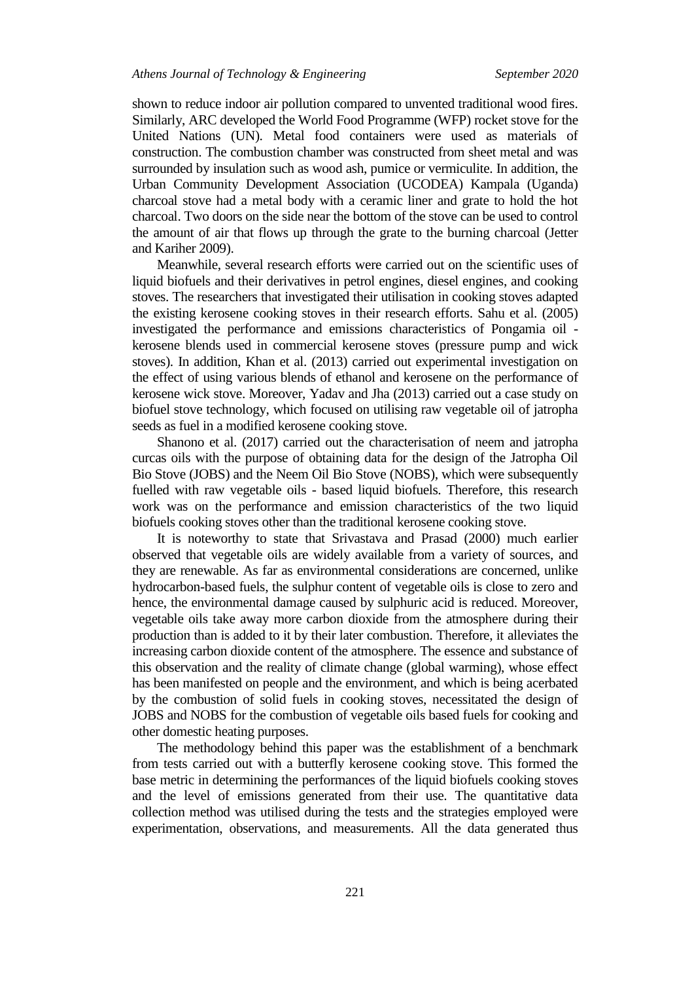shown to reduce indoor air pollution compared to unvented traditional wood fires. Similarly, ARC developed the World Food Programme (WFP) rocket stove for the United Nations (UN). Metal food containers were used as materials of construction. The combustion chamber was constructed from sheet metal and was surrounded by insulation such as wood ash, pumice or vermiculite. In addition, the Urban Community Development Association (UCODEA) Kampala (Uganda) charcoal stove had a metal body with a ceramic liner and grate to hold the hot charcoal. Two doors on the side near the bottom of the stove can be used to control the amount of air that flows up through the grate to the burning charcoal (Jetter and Kariher 2009).

Meanwhile, several research efforts were carried out on the scientific uses of liquid biofuels and their derivatives in petrol engines, diesel engines, and cooking stoves. The researchers that investigated their utilisation in cooking stoves adapted the existing kerosene cooking stoves in their research efforts. Sahu et al. (2005) investigated the performance and emissions characteristics of Pongamia oil kerosene blends used in commercial kerosene stoves (pressure pump and wick stoves). In addition, Khan et al. (2013) carried out experimental investigation on the effect of using various blends of ethanol and kerosene on the performance of kerosene wick stove. Moreover, Yadav and Jha (2013) carried out a case study on biofuel stove technology, which focused on utilising raw vegetable oil of jatropha seeds as fuel in a modified kerosene cooking stove.

Shanono et al. (2017) carried out the characterisation of neem and jatropha curcas oils with the purpose of obtaining data for the design of the Jatropha Oil Bio Stove (JOBS) and the Neem Oil Bio Stove (NOBS), which were subsequently fuelled with raw vegetable oils - based liquid biofuels. Therefore, this research work was on the performance and emission characteristics of the two liquid biofuels cooking stoves other than the traditional kerosene cooking stove.

It is noteworthy to state that Srivastava and Prasad (2000) much earlier observed that vegetable oils are widely available from a variety of sources, and they are renewable. As far as environmental considerations are concerned, unlike hydrocarbon-based fuels, the sulphur content of vegetable oils is close to zero and hence, the environmental damage caused by sulphuric acid is reduced. Moreover, vegetable oils take away more carbon dioxide from the atmosphere during their production than is added to it by their later combustion. Therefore, it alleviates the increasing carbon dioxide content of the atmosphere. The essence and substance of this observation and the reality of climate change (global warming), whose effect has been manifested on people and the environment, and which is being acerbated by the combustion of solid fuels in cooking stoves, necessitated the design of JOBS and NOBS for the combustion of vegetable oils based fuels for cooking and other domestic heating purposes.

The methodology behind this paper was the establishment of a benchmark from tests carried out with a butterfly kerosene cooking stove. This formed the base metric in determining the performances of the liquid biofuels cooking stoves and the level of emissions generated from their use. The quantitative data collection method was utilised during the tests and the strategies employed were experimentation, observations, and measurements. All the data generated thus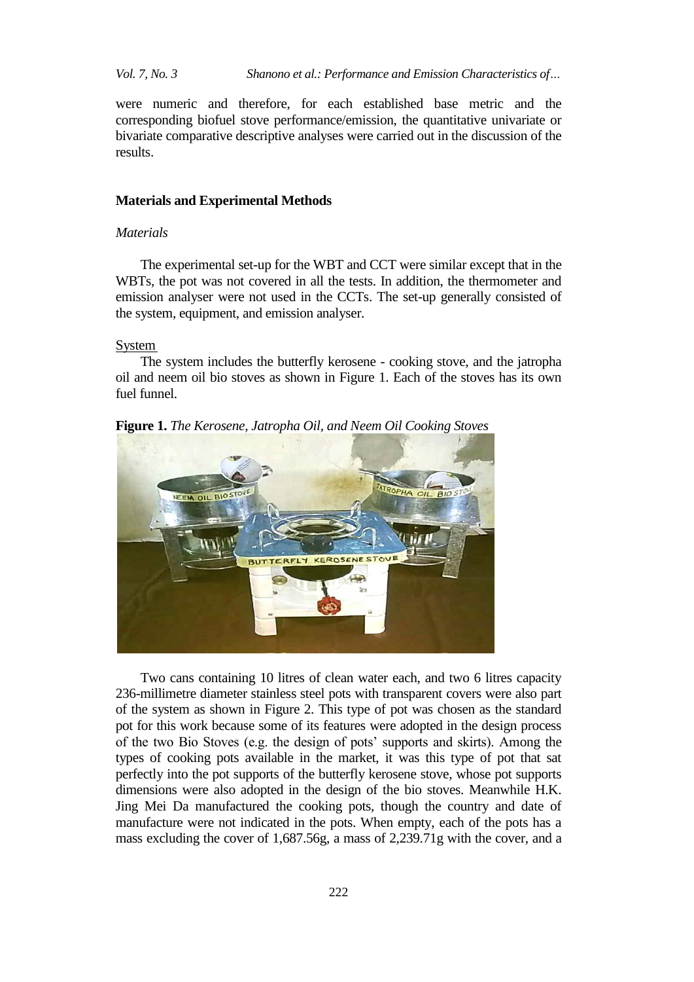were numeric and therefore, for each established base metric and the corresponding biofuel stove performance/emission, the quantitative univariate or bivariate comparative descriptive analyses were carried out in the discussion of the results.

# **Materials and Experimental Methods**

#### *Materials*

The experimental set-up for the WBT and CCT were similar except that in the WBTs, the pot was not covered in all the tests. In addition, the thermometer and emission analyser were not used in the CCTs. The set-up generally consisted of the system, equipment, and emission analyser.

System

The system includes the butterfly kerosene - cooking stove, and the jatropha oil and neem oil bio stoves as shown in Figure 1. Each of the stoves has its own fuel funnel.

**Figure 1.** *The Kerosene, Jatropha Oil, and Neem Oil Cooking Stoves*



Two cans containing 10 litres of clean water each, and two 6 litres capacity 236-millimetre diameter stainless steel pots with transparent covers were also part of the system as shown in Figure 2. This type of pot was chosen as the standard pot for this work because some of its features were adopted in the design process of the two Bio Stoves (e.g. the design of pots" supports and skirts). Among the types of cooking pots available in the market, it was this type of pot that sat perfectly into the pot supports of the butterfly kerosene stove, whose pot supports dimensions were also adopted in the design of the bio stoves. Meanwhile H.K. Jing Mei Da manufactured the cooking pots, though the country and date of manufacture were not indicated in the pots. When empty, each of the pots has a mass excluding the cover of 1,687.56g, a mass of 2,239.71g with the cover, and a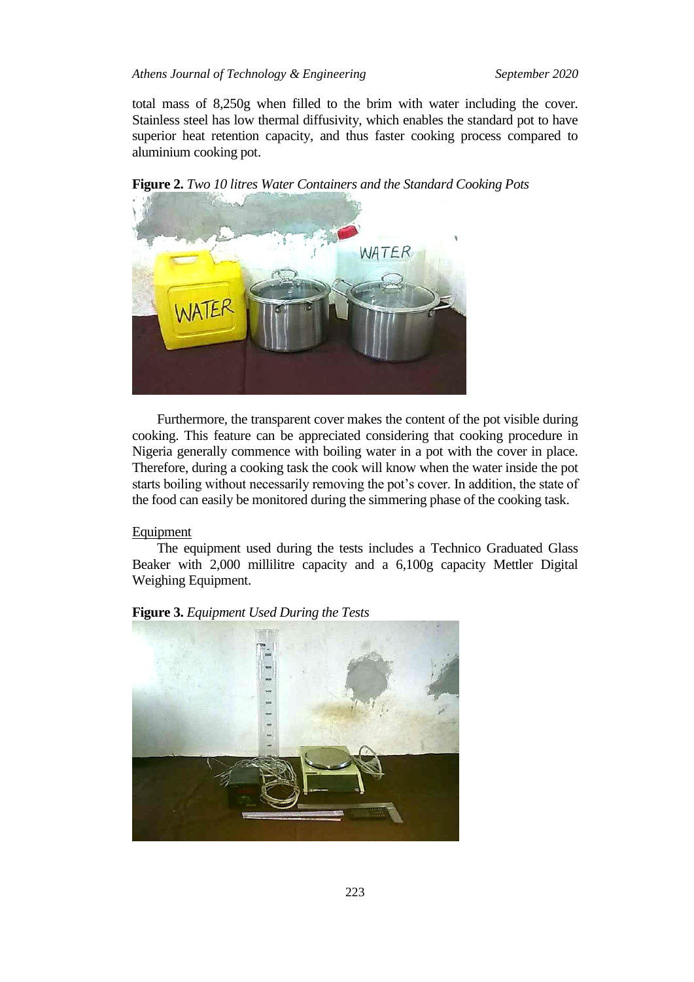total mass of 8,250g when filled to the brim with water including the cover. Stainless steel has low thermal diffusivity, which enables the standard pot to have superior heat retention capacity, and thus faster cooking process compared to aluminium cooking pot.

NATER ATEI

**Figure 2.** *Two 10 litres Water Containers and the Standard Cooking Pots*

Furthermore, the transparent cover makes the content of the pot visible during cooking. This feature can be appreciated considering that cooking procedure in Nigeria generally commence with boiling water in a pot with the cover in place. Therefore, during a cooking task the cook will know when the water inside the pot starts boiling without necessarily removing the pot's cover. In addition, the state of the food can easily be monitored during the simmering phase of the cooking task.

# Equipment

The equipment used during the tests includes a Technico Graduated Glass Beaker with 2,000 millilitre capacity and a 6,100g capacity Mettler Digital Weighing Equipment.



**Figure 3.** *Equipment Used During the Tests*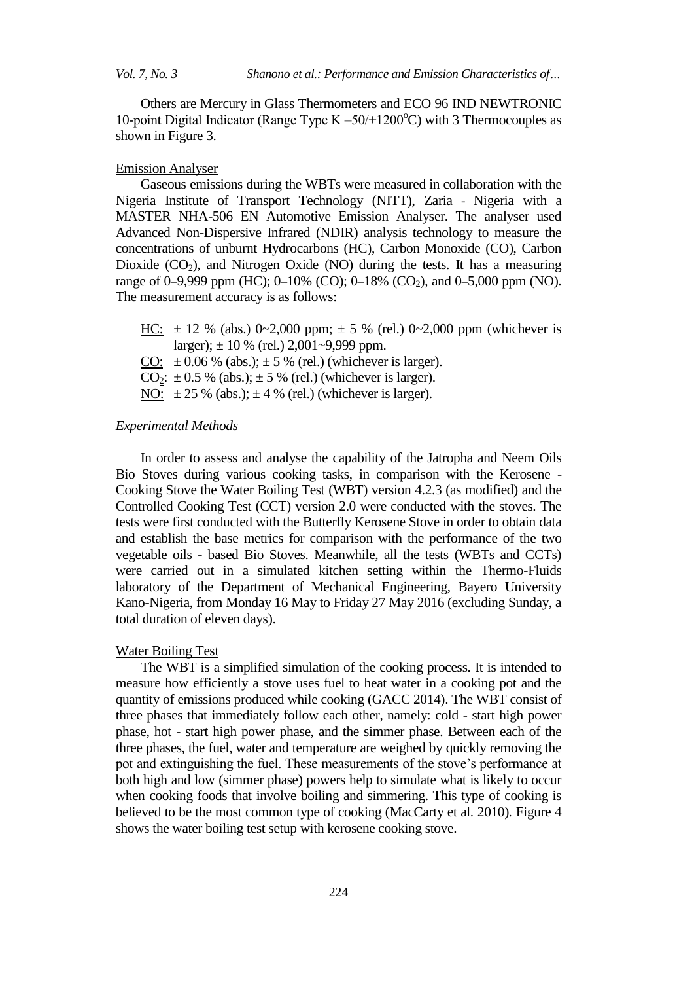Others are Mercury in Glass Thermometers and ECO 96 IND NEWTRONIC 10-point Digital Indicator (Range Type  $K - 50/1200^{\circ}$ C) with 3 Thermocouples as shown in Figure 3.

#### Emission Analyser

Gaseous emissions during the WBTs were measured in collaboration with the Nigeria Institute of Transport Technology (NITT), Zaria - Nigeria with a MASTER NHA-506 EN Automotive Emission Analyser. The analyser used Advanced Non-Dispersive Infrared (NDIR) analysis technology to measure the concentrations of unburnt Hydrocarbons (HC), Carbon Monoxide (CO), Carbon Dioxide  $(CO_2)$ , and Nitrogen Oxide (NO) during the tests. It has a measuring range of 0–9,999 ppm (HC); 0–10% (CO); 0–18% (CO<sub>2</sub>), and 0–5,000 ppm (NO). The measurement accuracy is as follows:

HC:  $\pm$  12 % (abs.) 0~2,000 ppm;  $\pm$  5 % (rel.) 0~2,000 ppm (whichever is larger);  $\pm 10$  % (rel.) 2,001~9,999 ppm.  $\underline{\text{CO:}} \pm 0.06$  % (abs.);  $\pm$  5 % (rel.) (whichever is larger).  $CO_2$ :  $\pm$  0.5 % (abs.);  $\pm$  5 % (rel.) (whichever is larger). NO:  $\pm 25$  % (abs.);  $\pm 4$  % (rel.) (whichever is larger).

### *Experimental Methods*

In order to assess and analyse the capability of the Jatropha and Neem Oils Bio Stoves during various cooking tasks, in comparison with the Kerosene - Cooking Stove the Water Boiling Test (WBT) version 4.2.3 (as modified) and the Controlled Cooking Test (CCT) version 2.0 were conducted with the stoves. The tests were first conducted with the Butterfly Kerosene Stove in order to obtain data and establish the base metrics for comparison with the performance of the two vegetable oils - based Bio Stoves. Meanwhile, all the tests (WBTs and CCTs) were carried out in a simulated kitchen setting within the Thermo-Fluids laboratory of the Department of Mechanical Engineering, Bayero University Kano-Nigeria, from Monday 16 May to Friday 27 May 2016 (excluding Sunday, a total duration of eleven days).

#### Water Boiling Test

The WBT is a simplified simulation of the cooking process. It is intended to measure how efficiently a stove uses fuel to heat water in a cooking pot and the quantity of emissions produced while cooking (GACC 2014). The WBT consist of three phases that immediately follow each other, namely: cold - start high power phase, hot - start high power phase, and the simmer phase. Between each of the three phases, the fuel, water and temperature are weighed by quickly removing the pot and extinguishing the fuel. These measurements of the stove"s performance at both high and low (simmer phase) powers help to simulate what is likely to occur when cooking foods that involve boiling and simmering. This type of cooking is believed to be the most common type of cooking (MacCarty et al. 2010)*.* Figure 4 shows the water boiling test setup with kerosene cooking stove.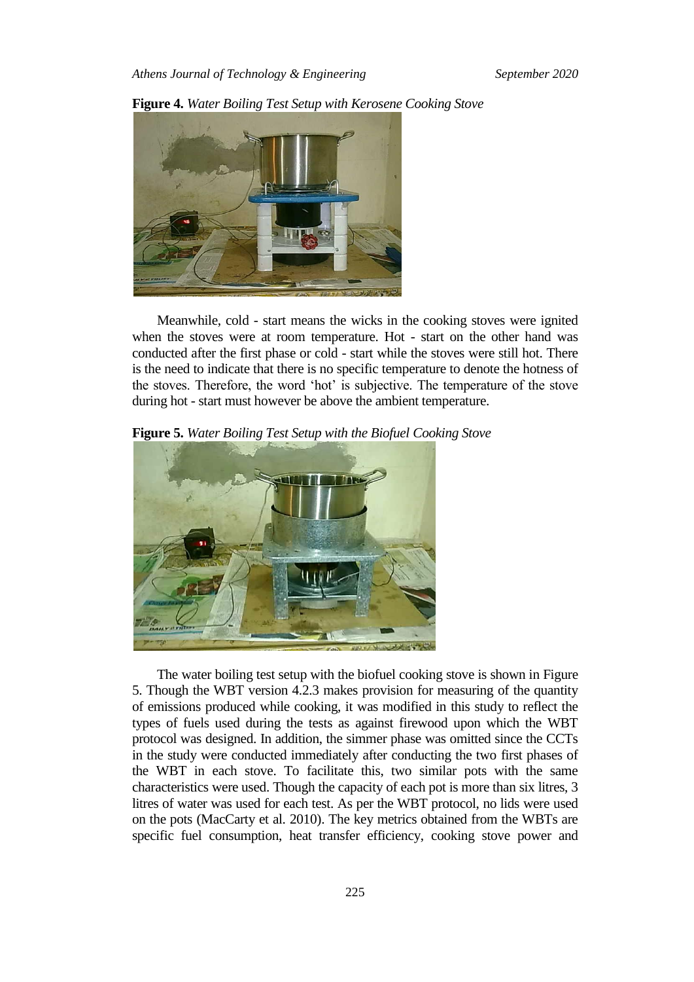

**Figure 4.** *Water Boiling Test Setup with Kerosene Cooking Stove*

Meanwhile, cold - start means the wicks in the cooking stoves were ignited when the stoves were at room temperature. Hot - start on the other hand was conducted after the first phase or cold - start while the stoves were still hot. There is the need to indicate that there is no specific temperature to denote the hotness of the stoves. Therefore, the word "hot" is subjective. The temperature of the stove during hot - start must however be above the ambient temperature.

**Figure 5.** *Water Boiling Test Setup with the Biofuel Cooking Stove*



The water boiling test setup with the biofuel cooking stove is shown in Figure 5. Though the WBT version 4.2.3 makes provision for measuring of the quantity of emissions produced while cooking, it was modified in this study to reflect the types of fuels used during the tests as against firewood upon which the WBT protocol was designed. In addition, the simmer phase was omitted since the CCTs in the study were conducted immediately after conducting the two first phases of the WBT in each stove. To facilitate this, two similar pots with the same characteristics were used. Though the capacity of each pot is more than six litres, 3 litres of water was used for each test. As per the WBT protocol, no lids were used on the pots (MacCarty et al. 2010). The key metrics obtained from the WBTs are specific fuel consumption, heat transfer efficiency, cooking stove power and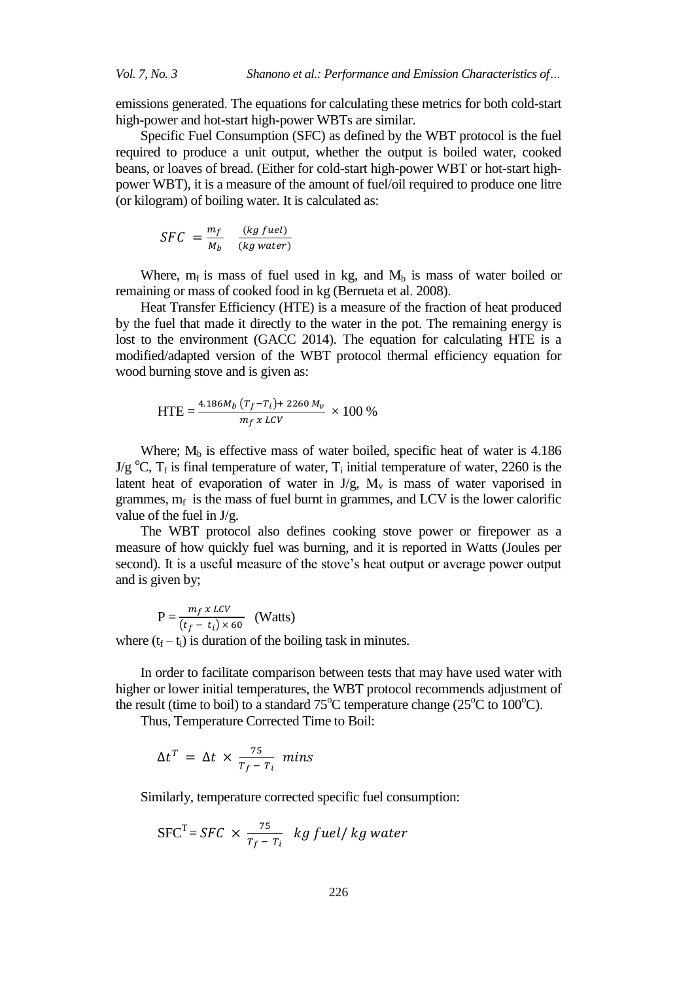emissions generated. The equations for calculating these metrics for both cold-start high-power and hot-start high-power WBTs are similar.

Specific Fuel Consumption (SFC) as defined by the WBT protocol is the fuel required to produce a unit output, whether the output is boiled water, cooked beans, or loaves of bread. (Either for cold-start high-power WBT or hot-start highpower WBT), it is a measure of the amount of fuel/oil required to produce one litre (or kilogram) of boiling water. It is calculated as:

$$
SFC = \frac{m_f}{M_b} \quad \frac{(kg \; fuel)}{(kg \; water)}
$$

Where,  $m_f$  is mass of fuel used in kg, and  $M_b$  is mass of water boiled or remaining or mass of cooked food in kg (Berrueta et al. 2008).

Heat Transfer Efficiency (HTE) is a measure of the fraction of heat produced by the fuel that made it directly to the water in the pot. The remaining energy is lost to the environment (GACC 2014). The equation for calculating HTE is a modified/adapted version of the WBT protocol thermal efficiency equation for wood burning stove and is given as:

$$
HTE = \frac{4.186M_b (T_f - T_i) + 2260 M_v}{m_f x \, LCV} \times 100\%
$$

Where;  $M_b$  is effective mass of water boiled, specific heat of water is 4.186  $J/g^{\circ}C$ ,  $T_f$  is final temperature of water,  $T_i$  initial temperature of water, 2260 is the latent heat of evaporation of water in  $J/g$ ,  $M_v$  is mass of water vaporised in grammes,  $m_f$  is the mass of fuel burnt in grammes, and LCV is the lower calorific value of the fuel in J/g.

The WBT protocol also defines cooking stove power or firepower as a measure of how quickly fuel was burning, and it is reported in Watts (Joules per second). It is a useful measure of the stove's heat output or average power output and is given by;

$$
P = \frac{m_f \, x \, LCV}{(t_f - t_i) \times 60} \quad (Watts)
$$

where  $(t_f - t_i)$  is duration of the boiling task in minutes.

In order to facilitate comparison between tests that may have used water with higher or lower initial temperatures, the WBT protocol recommends adjustment of the result (time to boil) to a standard  $75^{\circ}$ C temperature change (25 $^{\circ}$ C to 100 $^{\circ}$ C).

Thus, Temperature Corrected Time to Boil:

$$
\Delta t^T = \Delta t \times \frac{75}{T_f - T_i} \text{ mins}
$$

Similarly, temperature corrected specific fuel consumption:

$$
SFCT = SFC \times \frac{75}{T_f - T_i} \ kg
$$
 *full kg water*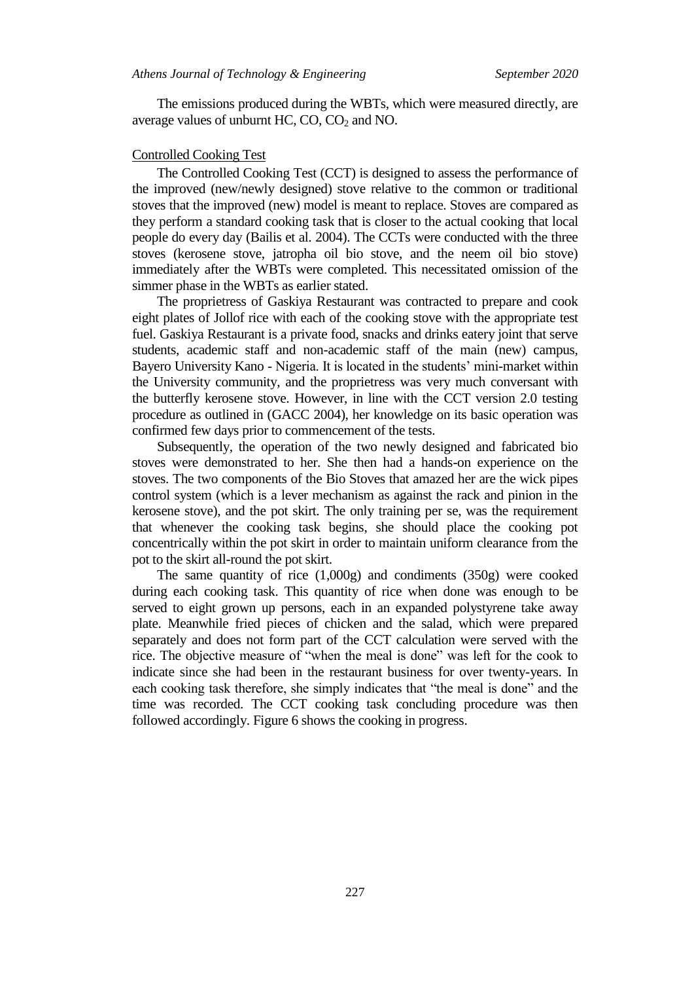The emissions produced during the WBTs, which were measured directly, are average values of unburnt HC,  $CO$ ,  $CO<sub>2</sub>$  and NO.

#### Controlled Cooking Test

The Controlled Cooking Test (CCT) is designed to assess the performance of the improved (new/newly designed) stove relative to the common or traditional stoves that the improved (new) model is meant to replace. Stoves are compared as they perform a standard cooking task that is closer to the actual cooking that local people do every day (Bailis et al. 2004). The CCTs were conducted with the three stoves (kerosene stove, jatropha oil bio stove, and the neem oil bio stove) immediately after the WBTs were completed. This necessitated omission of the simmer phase in the WBTs as earlier stated.

The proprietress of Gaskiya Restaurant was contracted to prepare and cook eight plates of Jollof rice with each of the cooking stove with the appropriate test fuel. Gaskiya Restaurant is a private food, snacks and drinks eatery joint that serve students, academic staff and non-academic staff of the main (new) campus, Bayero University Kano - Nigeria. It is located in the students" mini-market within the University community, and the proprietress was very much conversant with the butterfly kerosene stove. However, in line with the CCT version 2.0 testing procedure as outlined in (GACC 2004), her knowledge on its basic operation was confirmed few days prior to commencement of the tests.

Subsequently, the operation of the two newly designed and fabricated bio stoves were demonstrated to her. She then had a hands-on experience on the stoves. The two components of the Bio Stoves that amazed her are the wick pipes control system (which is a lever mechanism as against the rack and pinion in the kerosene stove), and the pot skirt. The only training per se, was the requirement that whenever the cooking task begins, she should place the cooking pot concentrically within the pot skirt in order to maintain uniform clearance from the pot to the skirt all-round the pot skirt.

The same quantity of rice (1,000g) and condiments (350g) were cooked during each cooking task. This quantity of rice when done was enough to be served to eight grown up persons, each in an expanded polystyrene take away plate. Meanwhile fried pieces of chicken and the salad, which were prepared separately and does not form part of the CCT calculation were served with the rice. The objective measure of "when the meal is done" was left for the cook to indicate since she had been in the restaurant business for over twenty-years. In each cooking task therefore, she simply indicates that "the meal is done" and the time was recorded. The CCT cooking task concluding procedure was then followed accordingly. Figure 6 shows the cooking in progress.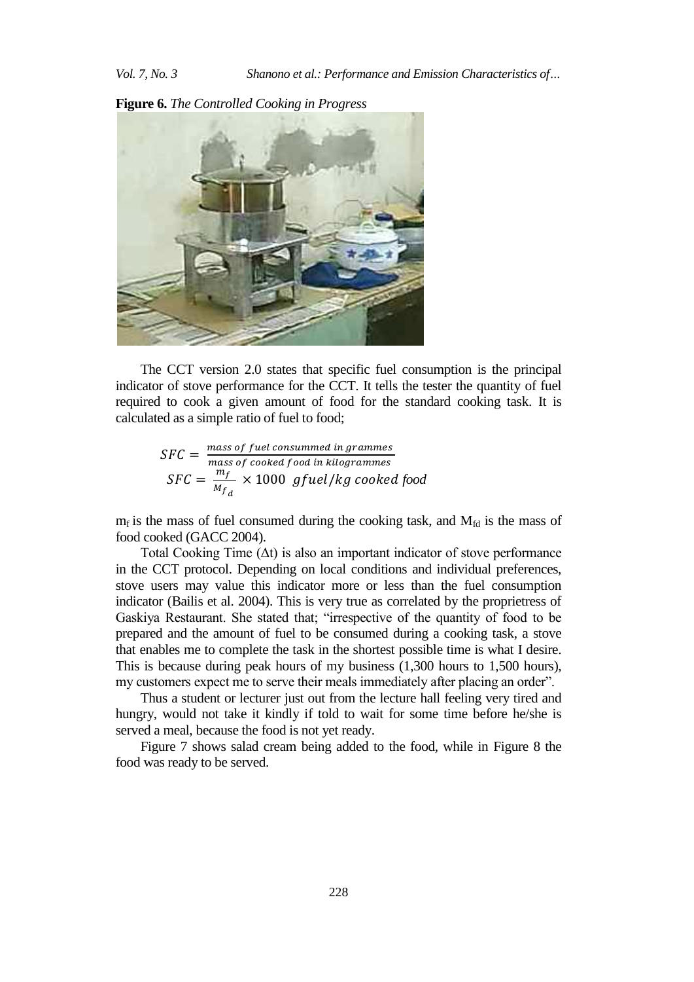**Figure 6.** *The Controlled Cooking in Progress*



The CCT version 2.0 states that specific fuel consumption is the principal indicator of stove performance for the CCT. It tells the tester the quantity of fuel required to cook a given amount of food for the standard cooking task. It is calculated as a simple ratio of fuel to food;

$$
SFC = \frac{mass\ of\ fuel\ consumed\ in\ grammes}{mass\ of\ cooled\ food\ in\ kilogrammes}
$$
  

$$
SFC = \frac{m_f}{M_{f_d}} \times 1000\ gfuel/kg\ cooled\ food
$$

 $m_f$  is the mass of fuel consumed during the cooking task, and  $M_{fd}$  is the mass of food cooked (GACC 2004).

Total Cooking Time  $(\Delta t)$  is also an important indicator of stove performance in the CCT protocol. Depending on local conditions and individual preferences, stove users may value this indicator more or less than the fuel consumption indicator (Bailis et al. 2004). This is very true as correlated by the proprietress of Gaskiya Restaurant. She stated that; "irrespective of the quantity of food to be prepared and the amount of fuel to be consumed during a cooking task, a stove that enables me to complete the task in the shortest possible time is what I desire. This is because during peak hours of my business (1,300 hours to 1,500 hours), my customers expect me to serve their meals immediately after placing an order".

Thus a student or lecturer just out from the lecture hall feeling very tired and hungry, would not take it kindly if told to wait for some time before he/she is served a meal, because the food is not yet ready.

Figure 7 shows salad cream being added to the food, while in Figure 8 the food was ready to be served.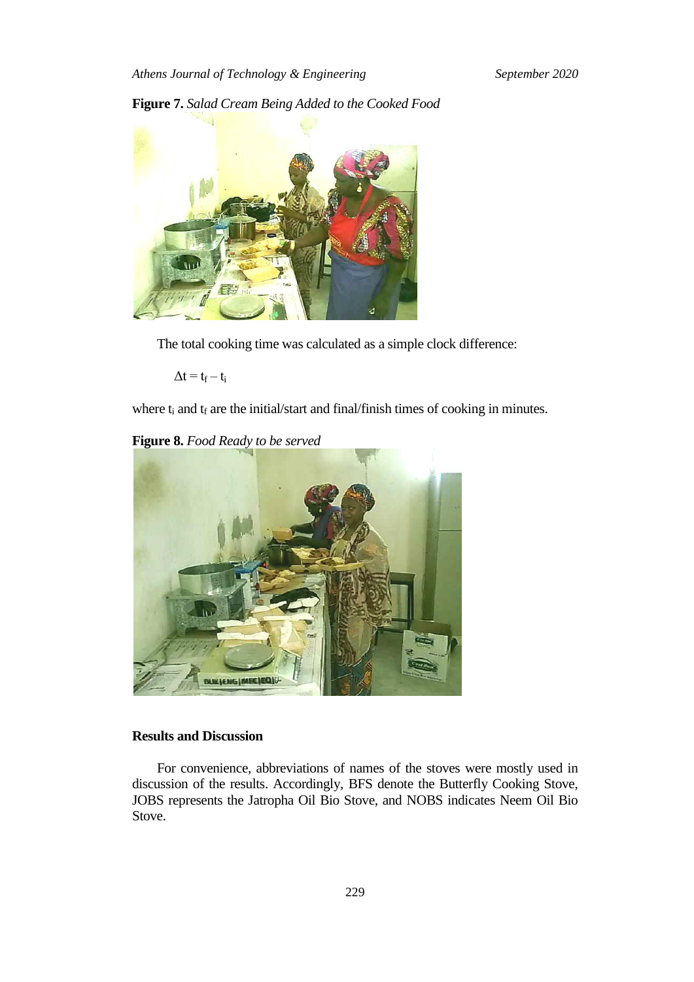# **Figure 7.** *Salad Cream Being Added to the Cooked Food*



The total cooking time was calculated as a simple clock difference:

 $\Delta t = t_f - t_i$ 

where  $t_i$  and  $t_f$  are the initial/start and final/finish times of cooking in minutes.

## **Figure 8.** *Food Ready to be served*



# **Results and Discussion**

For convenience, abbreviations of names of the stoves were mostly used in discussion of the results. Accordingly, BFS denote the Butterfly Cooking Stove, JOBS represents the Jatropha Oil Bio Stove, and NOBS indicates Neem Oil Bio Stove.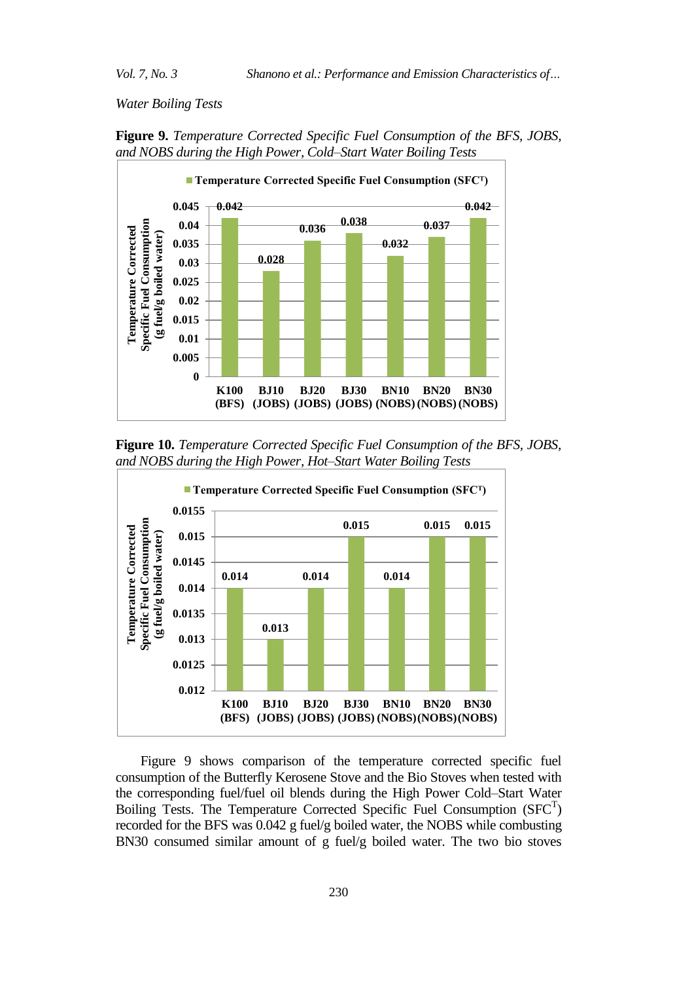*Water Boiling Tests* 





**Figure 10.** *Temperature Corrected Specific Fuel Consumption of the BFS, JOBS, and NOBS during the High Power, Hot–Start Water Boiling Tests*



Figure 9 shows comparison of the temperature corrected specific fuel consumption of the Butterfly Kerosene Stove and the Bio Stoves when tested with the corresponding fuel/fuel oil blends during the High Power Cold*–*Start Water Boiling Tests. The Temperature Corrected Specific Fuel Consumption  $(SFC<sup>T</sup>)$ recorded for the BFS was 0.042 g fuel/g boiled water, the NOBS while combusting BN30 consumed similar amount of g fuel/g boiled water. The two bio stoves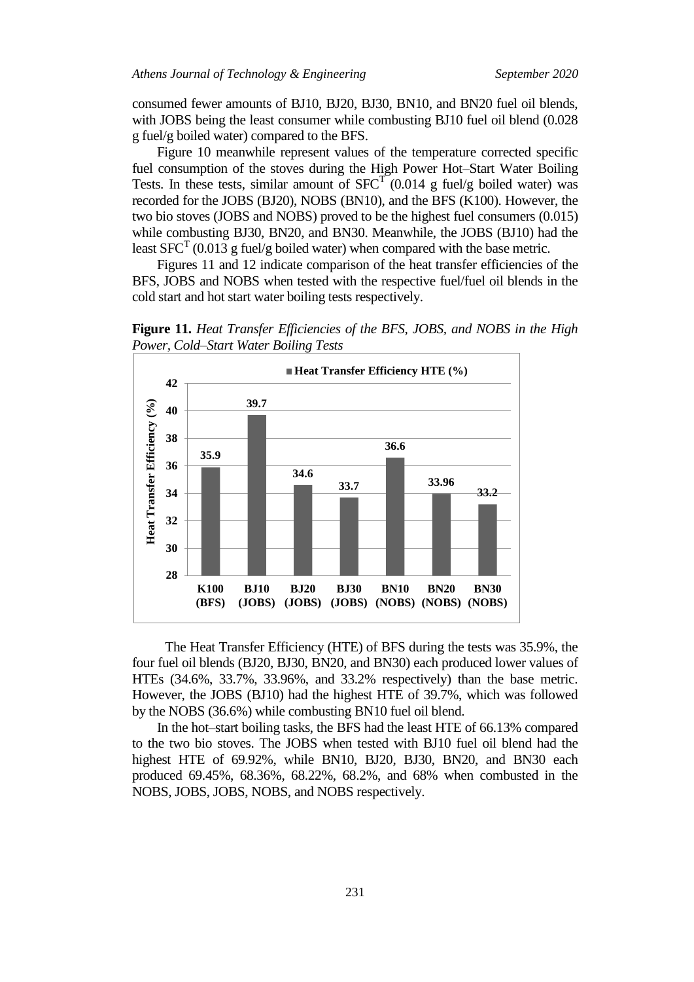consumed fewer amounts of BJ10, BJ20, BJ30, BN10, and BN20 fuel oil blends, with JOBS being the least consumer while combusting BJ10 fuel oil blend (0.028) g fuel/g boiled water) compared to the BFS.

Figure 10 meanwhile represent values of the temperature corrected specific fuel consumption of the stoves during the High Power Hot*–*Start Water Boiling Tests. In these tests, similar amount of  $SFC<sup>T</sup>$  (0.014 g fuel/g boiled water) was recorded for the JOBS (BJ20), NOBS (BN10), and the BFS (K100). However, the two bio stoves (JOBS and NOBS) proved to be the highest fuel consumers (0.015) while combusting BJ30, BN20, and BN30. Meanwhile, the JOBS (BJ10) had the least SFC<sup>T</sup> (0.013 g fuel/g boiled water) when compared with the base metric.

Figures 11 and 12 indicate comparison of the heat transfer efficiencies of the BFS, JOBS and NOBS when tested with the respective fuel/fuel oil blends in the cold start and hot start water boiling tests respectively.

**Figure 11.** *Heat Transfer Efficiencies of the BFS, JOBS, and NOBS in the High Power, Cold–Start Water Boiling Tests*



The Heat Transfer Efficiency (HTE) of BFS during the tests was 35.9%, the four fuel oil blends (BJ20, BJ30, BN20, and BN30) each produced lower values of HTEs (34.6%, 33.7%, 33.96%, and 33.2% respectively) than the base metric. However, the JOBS (BJ10) had the highest HTE of 39.7%, which was followed by the NOBS (36.6%) while combusting BN10 fuel oil blend.

In the hot–start boiling tasks, the BFS had the least HTE of 66.13% compared to the two bio stoves. The JOBS when tested with BJ10 fuel oil blend had the highest HTE of 69.92%, while BN10, BJ20, BJ30, BN20, and BN30 each produced 69.45%, 68.36%, 68.22%, 68.2%, and 68% when combusted in the NOBS, JOBS, JOBS, NOBS, and NOBS respectively.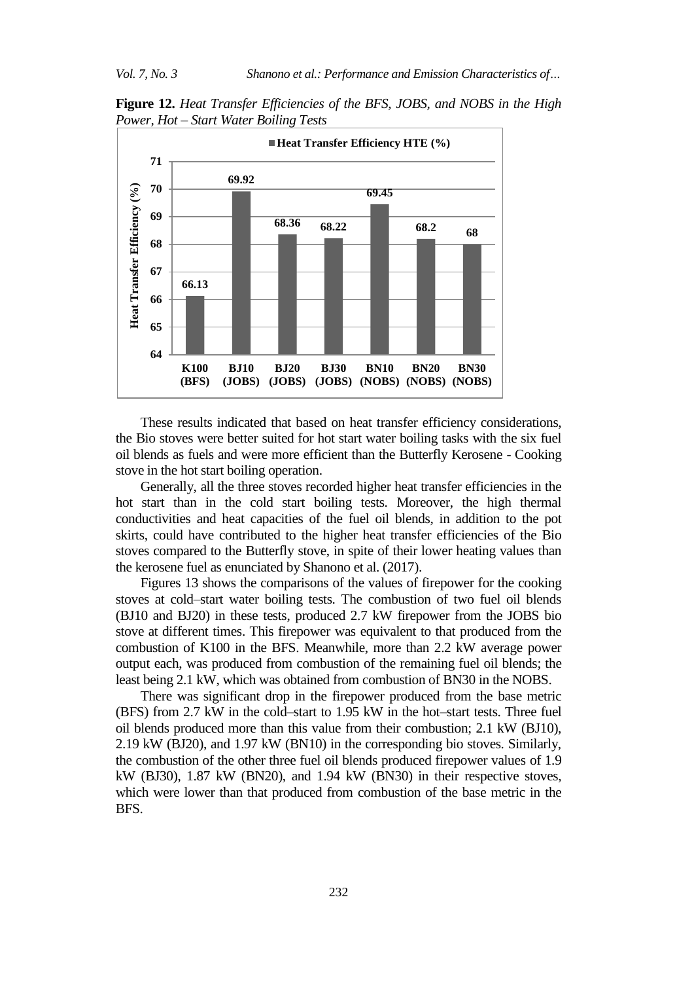**Figure 12.** *Heat Transfer Efficiencies of the BFS, JOBS, and NOBS in the High Power, Hot – Start Water Boiling Tests*



These results indicated that based on heat transfer efficiency considerations, the Bio stoves were better suited for hot start water boiling tasks with the six fuel oil blends as fuels and were more efficient than the Butterfly Kerosene - Cooking stove in the hot start boiling operation.

Generally, all the three stoves recorded higher heat transfer efficiencies in the hot start than in the cold start boiling tests. Moreover, the high thermal conductivities and heat capacities of the fuel oil blends, in addition to the pot skirts, could have contributed to the higher heat transfer efficiencies of the Bio stoves compared to the Butterfly stove, in spite of their lower heating values than the kerosene fuel as enunciated by Shanono et al. (2017).

Figures 13 shows the comparisons of the values of firepower for the cooking stoves at cold*–*start water boiling tests. The combustion of two fuel oil blends (BJ10 and BJ20) in these tests, produced 2.7 kW firepower from the JOBS bio stove at different times. This firepower was equivalent to that produced from the combustion of K100 in the BFS. Meanwhile, more than 2.2 kW average power output each, was produced from combustion of the remaining fuel oil blends; the least being 2.1 kW, which was obtained from combustion of BN30 in the NOBS.

There was significant drop in the firepower produced from the base metric (BFS) from 2.7 kW in the cold–start to 1.95 kW in the hot–start tests. Three fuel oil blends produced more than this value from their combustion; 2.1 kW (BJ10), 2.19 kW (BJ20), and 1.97 kW (BN10) in the corresponding bio stoves. Similarly, the combustion of the other three fuel oil blends produced firepower values of 1.9 kW (BJ30), 1.87 kW (BN20), and 1.94 kW (BN30) in their respective stoves, which were lower than that produced from combustion of the base metric in the BFS.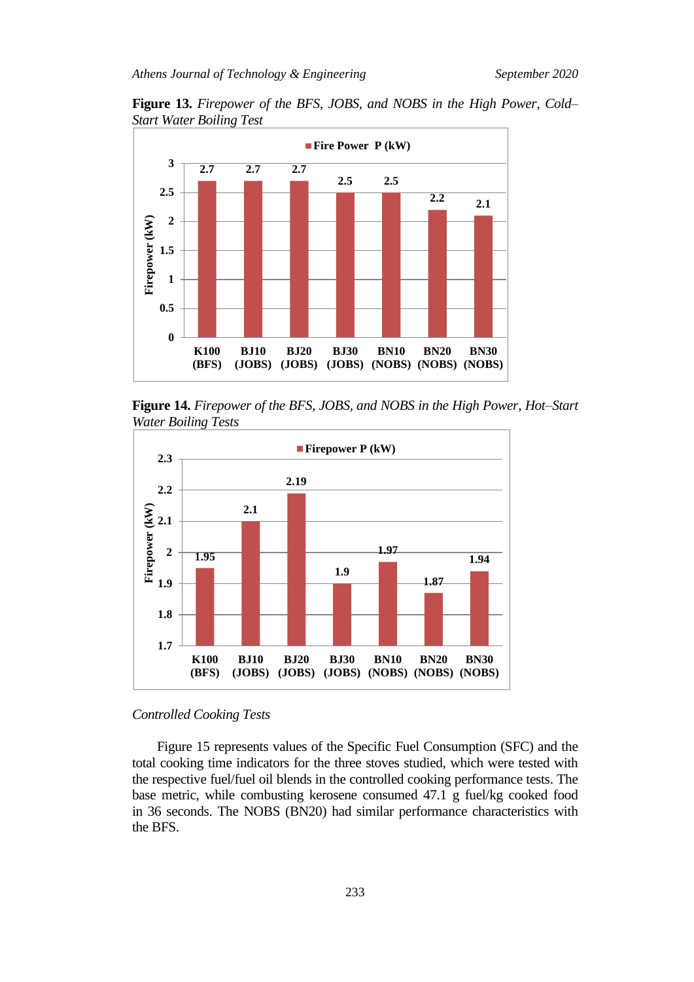

**Figure 13.** *Firepower of the BFS, JOBS, and NOBS in the High Power, Cold– Start Water Boiling Test*

**Figure 14.** *Firepower of the BFS, JOBS, and NOBS in the High Power, Hot–Start Water Boiling Tests*



# *Controlled Cooking Tests*

Figure 15 represents values of the Specific Fuel Consumption (SFC) and the total cooking time indicators for the three stoves studied, which were tested with the respective fuel/fuel oil blends in the controlled cooking performance tests. The base metric, while combusting kerosene consumed 47.1 g fuel/kg cooked food in 36 seconds. The NOBS (BN20) had similar performance characteristics with the BFS.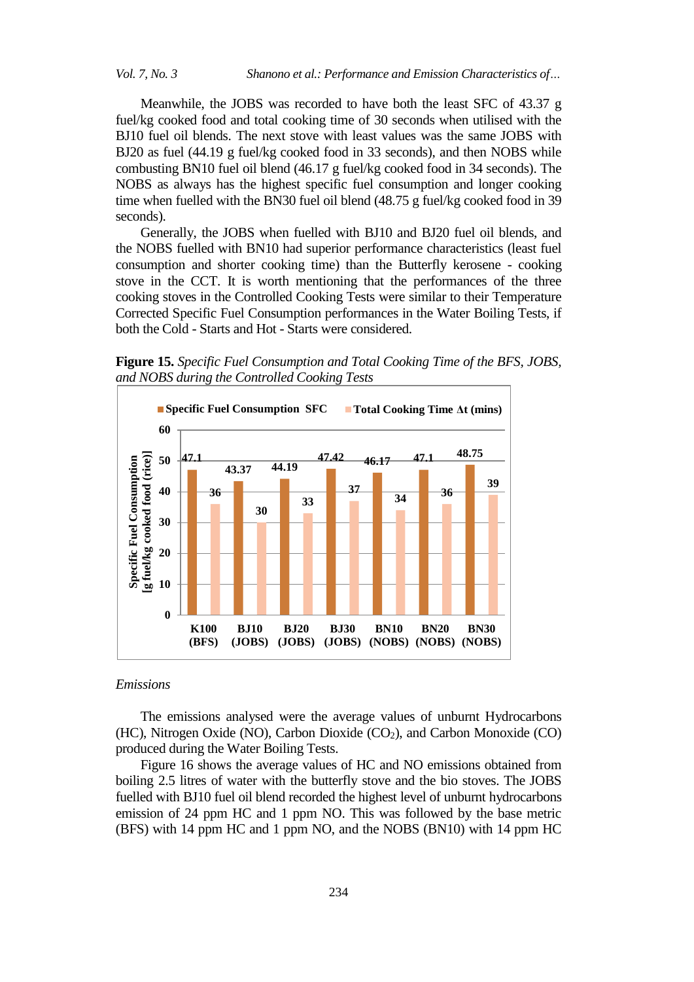Meanwhile, the JOBS was recorded to have both the least SFC of 43.37 g fuel/kg cooked food and total cooking time of 30 seconds when utilised with the BJ10 fuel oil blends. The next stove with least values was the same JOBS with BJ20 as fuel (44.19 g fuel/kg cooked food in 33 seconds), and then NOBS while combusting BN10 fuel oil blend (46.17 g fuel/kg cooked food in 34 seconds). The NOBS as always has the highest specific fuel consumption and longer cooking time when fuelled with the BN30 fuel oil blend (48.75 g fuel/kg cooked food in 39 seconds).

Generally, the JOBS when fuelled with BJ10 and BJ20 fuel oil blends, and the NOBS fuelled with BN10 had superior performance characteristics (least fuel consumption and shorter cooking time) than the Butterfly kerosene - cooking stove in the CCT. It is worth mentioning that the performances of the three cooking stoves in the Controlled Cooking Tests were similar to their Temperature Corrected Specific Fuel Consumption performances in the Water Boiling Tests, if both the Cold - Starts and Hot - Starts were considered.

**Figure 15.** *Specific Fuel Consumption and Total Cooking Time of the BFS, JOBS, and NOBS during the Controlled Cooking Tests*



# *Emissions*

The emissions analysed were the average values of unburnt Hydrocarbons (HC), Nitrogen Oxide (NO), Carbon Dioxide  $(CO<sub>2</sub>)$ , and Carbon Monoxide  $(CO)$ produced during the Water Boiling Tests.

Figure 16 shows the average values of HC and NO emissions obtained from boiling 2.5 litres of water with the butterfly stove and the bio stoves. The JOBS fuelled with BJ10 fuel oil blend recorded the highest level of unburnt hydrocarbons emission of 24 ppm HC and 1 ppm NO. This was followed by the base metric (BFS) with 14 ppm HC and 1 ppm NO, and the NOBS (BN10) with 14 ppm HC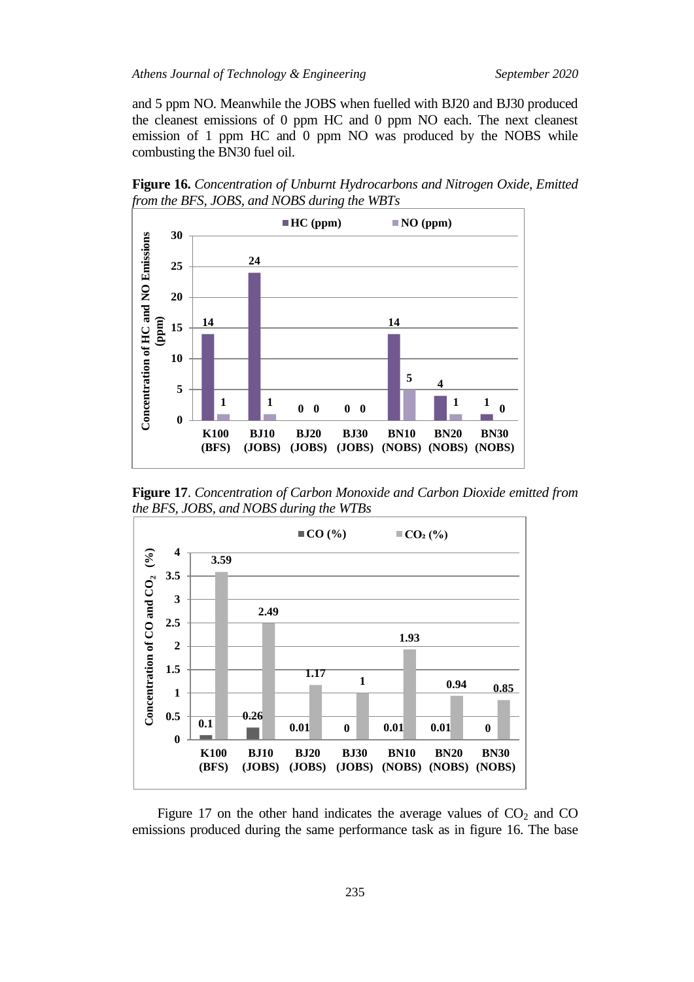and 5 ppm NO. Meanwhile the JOBS when fuelled with BJ20 and BJ30 produced the cleanest emissions of 0 ppm HC and 0 ppm NO each. The next cleanest emission of 1 ppm HC and 0 ppm NO was produced by the NOBS while combusting the BN30 fuel oil.

**Figure 16.** *Concentration of Unburnt Hydrocarbons and Nitrogen Oxide, Emitted from the BFS, JOBS, and NOBS during the WBTs*



**Figure 17**. *Concentration of Carbon Monoxide and Carbon Dioxide emitted from the BFS, JOBS, and NOBS during the WTBs*



Figure 17 on the other hand indicates the average values of  $CO<sub>2</sub>$  and  $CO$ emissions produced during the same performance task as in figure 16. The base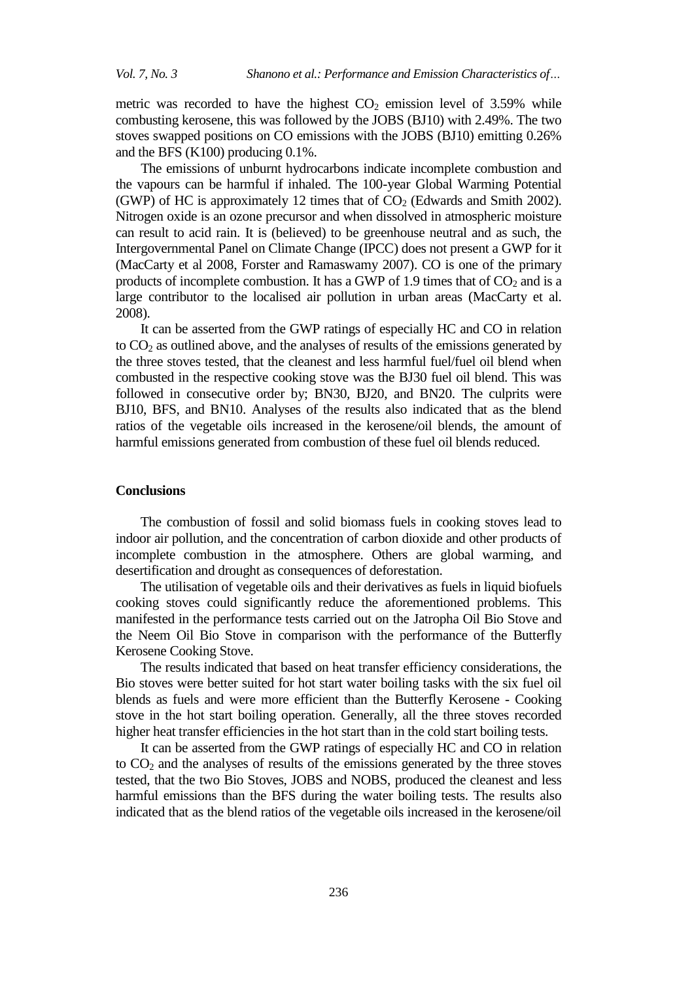metric was recorded to have the highest  $CO<sub>2</sub>$  emission level of 3.59% while combusting kerosene, this was followed by the JOBS (BJ10) with 2.49%. The two stoves swapped positions on CO emissions with the JOBS (BJ10) emitting 0.26% and the BFS (K100) producing 0.1%.

The emissions of unburnt hydrocarbons indicate incomplete combustion and the vapours can be harmful if inhaled. The 100-year Global Warming Potential (GWP) of HC is approximately 12 times that of  $CO<sub>2</sub>$  (Edwards and Smith 2002). Nitrogen oxide is an ozone precursor and when dissolved in atmospheric moisture can result to acid rain. It is (believed) to be greenhouse neutral and as such, the Intergovernmental Panel on Climate Change (IPCC) does not present a GWP for it (MacCarty et al 2008, Forster and Ramaswamy 2007). CO is one of the primary products of incomplete combustion. It has a GWP of 1.9 times that of  $CO<sub>2</sub>$  and is a large contributor to the localised air pollution in urban areas (MacCarty et al. 2008).

It can be asserted from the GWP ratings of especially HC and CO in relation to  $CO<sub>2</sub>$  as outlined above, and the analyses of results of the emissions generated by the three stoves tested, that the cleanest and less harmful fuel/fuel oil blend when combusted in the respective cooking stove was the BJ30 fuel oil blend. This was followed in consecutive order by; BN30, BJ20, and BN20. The culprits were BJ10, BFS, and BN10. Analyses of the results also indicated that as the blend ratios of the vegetable oils increased in the kerosene/oil blends, the amount of harmful emissions generated from combustion of these fuel oil blends reduced.

### **Conclusions**

The combustion of fossil and solid biomass fuels in cooking stoves lead to indoor air pollution, and the concentration of carbon dioxide and other products of incomplete combustion in the atmosphere. Others are global warming, and desertification and drought as consequences of deforestation.

The utilisation of vegetable oils and their derivatives as fuels in liquid biofuels cooking stoves could significantly reduce the aforementioned problems. This manifested in the performance tests carried out on the Jatropha Oil Bio Stove and the Neem Oil Bio Stove in comparison with the performance of the Butterfly Kerosene Cooking Stove.

The results indicated that based on heat transfer efficiency considerations, the Bio stoves were better suited for hot start water boiling tasks with the six fuel oil blends as fuels and were more efficient than the Butterfly Kerosene - Cooking stove in the hot start boiling operation. Generally, all the three stoves recorded higher heat transfer efficiencies in the hot start than in the cold start boiling tests.

It can be asserted from the GWP ratings of especially HC and CO in relation to  $CO<sub>2</sub>$  and the analyses of results of the emissions generated by the three stoves tested, that the two Bio Stoves, JOBS and NOBS, produced the cleanest and less harmful emissions than the BFS during the water boiling tests. The results also indicated that as the blend ratios of the vegetable oils increased in the kerosene/oil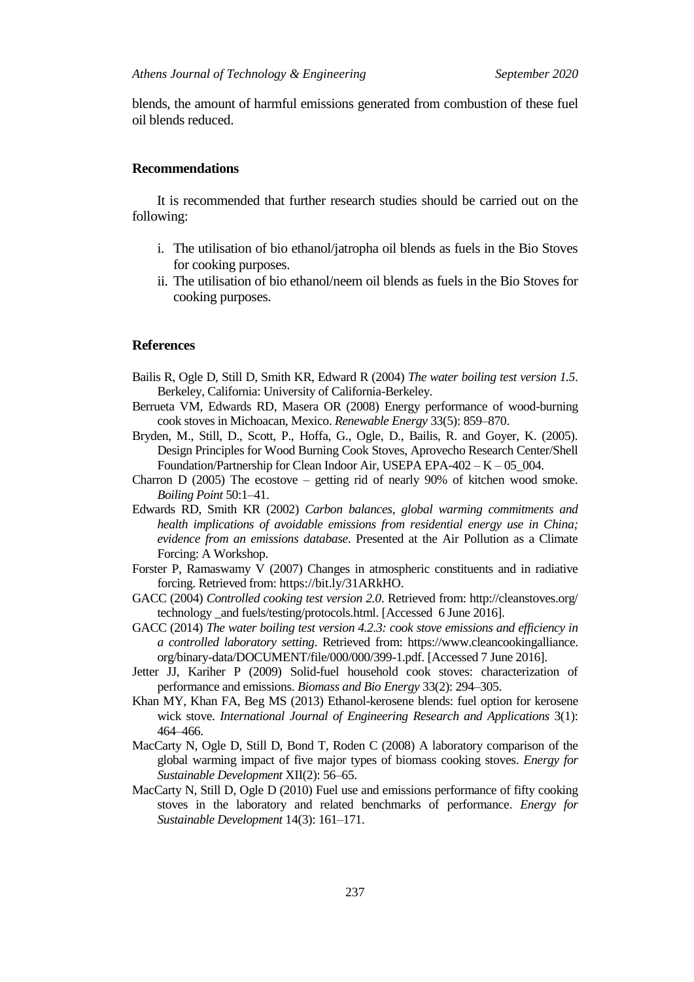blends, the amount of harmful emissions generated from combustion of these fuel oil blends reduced.

#### **Recommendations**

It is recommended that further research studies should be carried out on the following:

- i. The utilisation of bio ethanol/jatropha oil blends as fuels in the Bio Stoves for cooking purposes.
- ii. The utilisation of bio ethanol/neem oil blends as fuels in the Bio Stoves for cooking purposes.

## **References**

- Bailis R, Ogle D, Still D, Smith KR, Edward R (2004) *The water boiling test version 1.5*. Berkeley, California: University of California-Berkeley*.*
- Berrueta VM, Edwards RD, Masera OR (2008) Energy performance of wood-burning cook stoves in Michoacan, Mexico. *Renewable Energy* 33(5): 859–870.
- Bryden, M., Still, D., Scott, P., Hoffa, G., Ogle, D., Bailis, R. and Goyer, K. (2005). Design Principles for Wood Burning Cook Stoves, Aprovecho Research Center/Shell Foundation/Partnership for Clean Indoor Air, USEPA EPA-402 – K – 05\_004.
- Charron D (2005) The ecostove getting rid of nearly 90% of kitchen wood smoke. *Boiling Point* 50:1–41.
- Edwards RD, Smith KR (2002) *Carbon balances, global warming commitments and health implications of avoidable emissions from residential energy use in China; evidence from an emissions database*. Presented at the Air Pollution as a Climate Forcing: A Workshop.
- Forster P, Ramaswamy V (2007) Changes in atmospheric constituents and in radiative forcing. Retrieved from: https://bit.ly/31ARkHO.
- GACC (2004) *Controlled cooking test version 2.0*. Retrieved from: http://cleanstoves.org/ technology \_and fuels/testing/protocols.html. [Accessed 6 June 2016].
- GACC (2014) *The water boiling test version 4.2.3: cook stove emissions and efficiency in a controlled laboratory setting*. Retrieved from: https://www.cleancookingalliance. org/binary-data/DOCUMENT/file/000/000/399-1.pdf. [Accessed 7 June 2016].
- Jetter JJ, Kariher P (2009) Solid-fuel household cook stoves: characterization of performance and emissions. *Biomass and Bio Energy* 33(2): 294–305.
- Khan MY, Khan FA, Beg MS (2013) Ethanol-kerosene blends: fuel option for kerosene wick stove. *International Journal of Engineering Research and Applications* 3(1): 464–466.
- MacCarty N, Ogle D, Still D, Bond T, Roden C (2008) A laboratory comparison of the global warming impact of five major types of biomass cooking stoves. *Energy for Sustainable Development* XII(2): 56–65.
- MacCarty N, Still D, Ogle D (2010) Fuel use and emissions performance of fifty cooking stoves in the laboratory and related benchmarks of performance. *Energy for Sustainable Development* 14(3): 161–171.